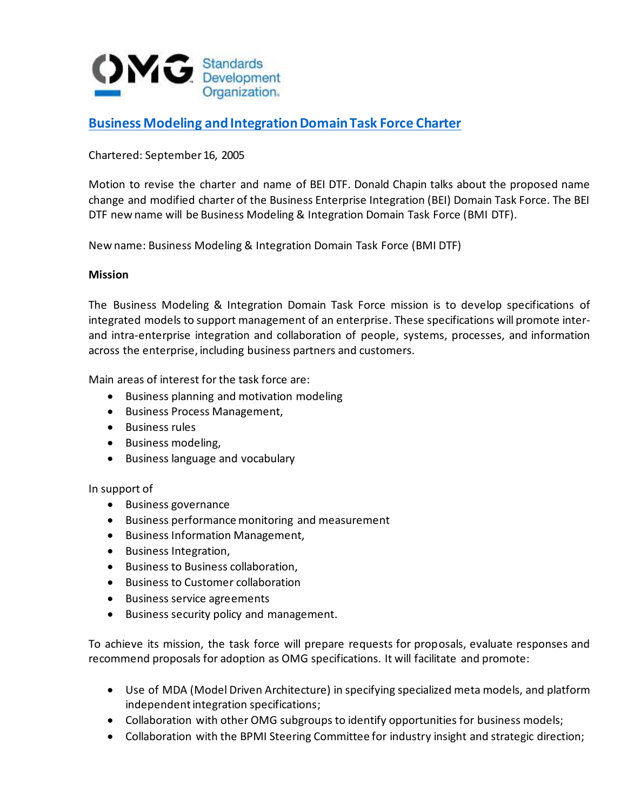

## **[Business Modeling and Integration Domain Task Force Charter](https://www.omg.org/cgi-bin/doc?bei/2005-09-13)**

Chartered: September 16, 2005

Motion to revise the charter and name of BEI DTF. Donald Chapin talks about the proposed name change and modified charter of the Business Enterprise Integration (BEI) Domain Task Force. The BEI DTF new name will be Business Modeling & Integration Domain Task Force (BMI DTF).

New name: Business Modeling & Integration Domain Task Force (BMI DTF)

## **Mission**

The Business Modeling & Integration Domain Task Force mission is to develop specifications of integrated models to support management of an enterprise. These specifications will promote interand intra-enterprise integration and collaboration of people, systems, processes, and information across the enterprise, including business partners and customers.

Main areas of interest for the task force are:

- Business planning and motivation modeling
- Business Process Management,
- Business rules
- Business modeling,
- Business language and vocabulary

## In support of

- Business governance
- Business performance monitoring and measurement
- Business Information Management,
- Business Integration,
- Business to Business collaboration,
- Business to Customer collaboration
- Business service agreements
- Business security policy and management.

To achieve its mission, the task force will prepare requests for proposals, evaluate responses and recommend proposals for adoption as OMG specifications. It will facilitate and promote:

- Use of MDA (Model Driven Architecture) in specifying specialized meta models, and platform independent integration specifications;
- Collaboration with other OMG subgroups to identify opportunities for business models;
- Collaboration with the BPMI Steering Committee for industry insight and strategic direction;